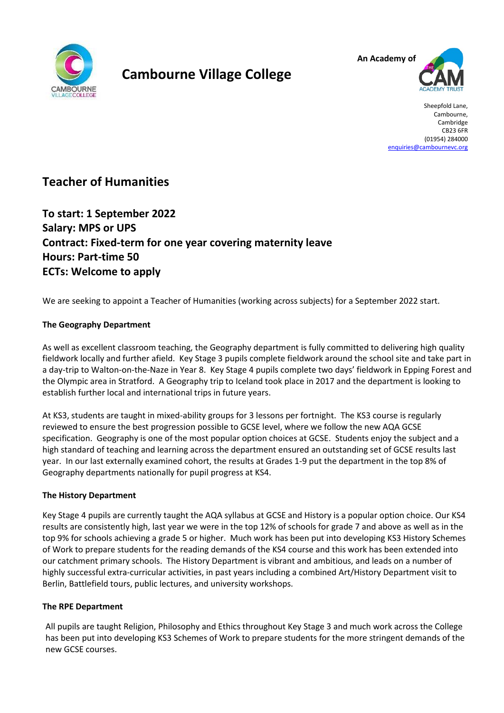

# **Cambourne Village College**



Sheepfold Lane, Cambourne, Cambridge CB23 6FR (01954) 284000 [enquiries@cambournevc.org](mailto:enquiries@cambournevc.org)

## **Teacher of Humanities**

**To start: 1 September 2022 Salary: MPS or UPS Contract: Fixed-term for one year covering maternity leave Hours: Part-time 50 ECTs: Welcome to apply**

We are seeking to appoint a Teacher of Humanities (working across subjects) for a September 2022 start.

#### **The Geography Department**

As well as excellent classroom teaching, the Geography department is fully committed to delivering high quality fieldwork locally and further afield.  Key Stage 3 pupils complete fieldwork around the school site and take part in a day-trip to Walton-on-the-Naze in Year 8.  Key Stage 4 pupils complete two days' fieldwork in Epping Forest and the Olympic area in Stratford.  A Geography trip to Iceland took place in 2017 and the department is looking to establish further local and international trips in future years.

At KS3, students are taught in mixed-ability groups for 3 lessons per fortnight.  The KS3 course is regularly reviewed to ensure the best progression possible to GCSE level, where we follow the new AQA GCSE specification.  Geography is one of the most popular option choices at GCSE.  Students enjoy the subject and a high standard of teaching and learning across the department ensured an outstanding set of GCSE results last year. In our last externally examined cohort, the results at Grades 1-9 put the department in the top 8% of Geography departments nationally for pupil progress at KS4.

#### **The History Department**

Key Stage 4 pupils are currently taught the AQA syllabus at GCSE and History is a popular option choice. Our KS4 results are consistently high, last year we were in the top 12% of schools for grade 7 and above as well as in the top 9% for schools achieving a grade 5 or higher. Much work has been put into developing KS3 History Schemes of Work to prepare students for the reading demands of the KS4 course and this work has been extended into our catchment primary schools. The History Department is vibrant and ambitious, and leads on a number of highly successful extra-curricular activities, in past years including a combined Art/History Department visit to Berlin, Battlefield tours, public lectures, and university workshops.

#### **The RPE Department**

All pupils are taught Religion, Philosophy and Ethics throughout Key Stage 3 and much work across the College has been put into developing KS3 Schemes of Work to prepare students for the more stringent demands of the new GCSE courses.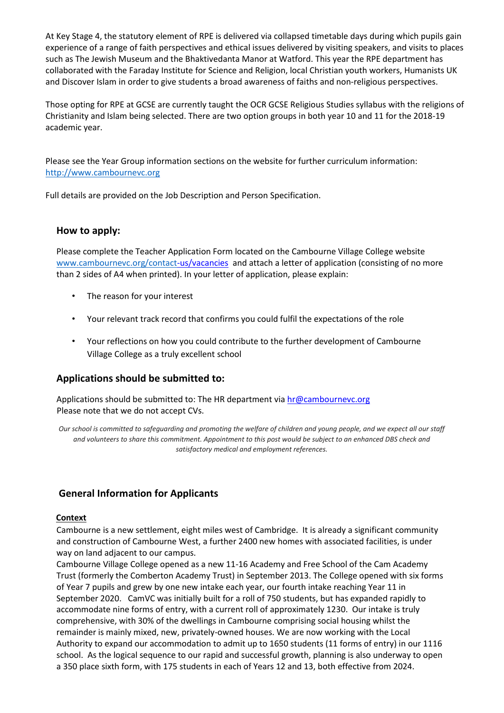At Key Stage 4, the statutory element of RPE is delivered via collapsed timetable days during which pupils gain experience of a range of faith perspectives and ethical issues delivered by visiting speakers, and visits to places such as The Jewish Museum and the Bhaktivedanta Manor at Watford. This year the RPE department has collaborated with the Faraday Institute for Science and Religion, local Christian youth workers, Humanists UK and Discover Islam in order to give students a broad awareness of faiths and non-religious perspectives.

Those opting for RPE at GCSE are currently taught the OCR GCSE Religious Studies syllabus with the religions of Christianity and Islam being selected. There are two option groups in both year 10 and 11 for the 2018-19 academic year.

Please see the Year Group information sections on the website for further curriculum information: [http://www.cambournevc.org](http://www.cambournevc.org/)

Full details are provided on the Job Description and Person Specification.

#### **How to apply:**

Please complete the Teacher Application Form located on the Cambourne Village College website [www.cambournevc.org/contact](http://www.cambournevc.org/contact)[-us/vacancies](http://www.cambournevc.org/contact-us/vacancies) and attach a letter of application (consisting of no more than 2 sides of A4 when printed). In your letter of application, please explain:

- The reason for your interest
- Your relevant track record that confirms you could fulfil the expectations of the role
- Your reflections on how you could contribute to the further development of Cambourne Village College as a truly excellent school

#### **Applications should be submitted to:**

Applications should be submitted to: The HR department via hr@cambournevc.org Please note that we do not accept CVs.

*Our school is committed to safeguarding and promoting the welfare of children and young people, and we expect all our staff and volunteers to share this commitment. Appointment to this post would be subject to an enhanced DBS check and satisfactory medical and employment references.*

#### **General Information for Applicants**

#### **Context**

Cambourne is a new settlement, eight miles west of Cambridge. It is already a significant community and construction of Cambourne West, a further 2400 new homes with associated facilities, is under way on land adjacent to our campus.

Cambourne Village College opened as a new 11-16 Academy and Free School of the Cam Academy Trust (formerly the Comberton Academy Trust) in September 2013. The College opened with six forms of Year 7 pupils and grew by one new intake each year, our fourth intake reaching Year 11 in September 2020. CamVC was initially built for a roll of 750 students, but has expanded rapidly to accommodate nine forms of entry, with a current roll of approximately 1230. Our intake is truly comprehensive, with 30% of the dwellings in Cambourne comprising social housing whilst the remainder is mainly mixed, new, privately-owned houses. We are now working with the Local Authority to expand our accommodation to admit up to 1650 students (11 forms of entry) in our 1116 school. As the logical sequence to our rapid and successful growth, planning is also underway to open a 350 place sixth form, with 175 students in each of Years 12 and 13, both effective from 2024.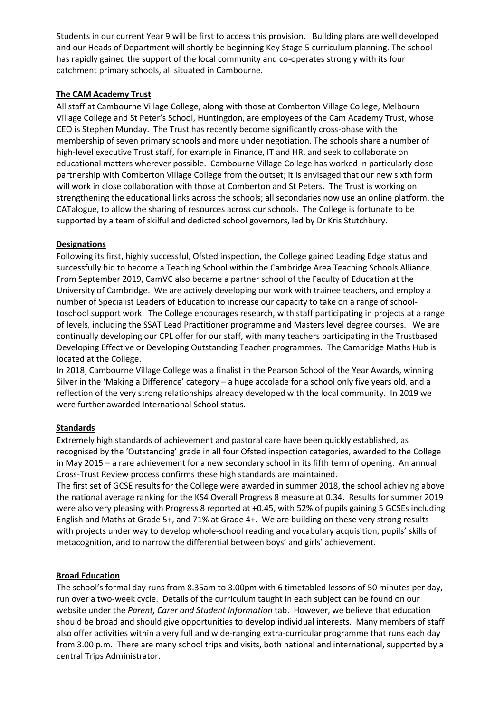Students in our current Year 9 will be first to access this provision. Building plans are well developed and our Heads of Department will shortly be beginning Key Stage 5 curriculum planning. The school has rapidly gained the support of the local community and co-operates strongly with its four catchment primary schools, all situated in Cambourne.

#### **The CAM Academy Trust**

All staff at Cambourne Village College, along with those at Comberton Village College, Melbourn Village College and St Peter's School, Huntingdon, are employees of the Cam Academy Trust, whose CEO is Stephen Munday. The Trust has recently become significantly cross-phase with the membership of seven primary schools and more under negotiation. The schools share a number of high-level executive Trust staff, for example in Finance, IT and HR, and seek to collaborate on educational matters wherever possible. Cambourne Village College has worked in particularly close partnership with Comberton Village College from the outset; it is envisaged that our new sixth form will work in close collaboration with those at Comberton and St Peters. The Trust is working on strengthening the educational links across the schools; all secondaries now use an online platform, the CATalogue, to allow the sharing of resources across our schools. The College is fortunate to be supported by a team of skilful and dedicted school governors, led by Dr Kris Stutchbury.

#### **Designations**

Following its first, highly successful, Ofsted inspection, the College gained Leading Edge status and successfully bid to become a Teaching School within the Cambridge Area Teaching Schools Alliance. From September 2019, CamVC also became a partner school of the Faculty of Education at the University of Cambridge. We are actively developing our work with trainee teachers, and employ a number of Specialist Leaders of Education to increase our capacity to take on a range of schooltoschool support work. The College encourages research, with staff participating in projects at a range of levels, including the SSAT Lead Practitioner programme and Masters level degree courses. We are continually developing our CPL offer for our staff, with many teachers participating in the Trustbased Developing Effective or Developing Outstanding Teacher programmes. The Cambridge Maths Hub is located at the College.

In 2018, Cambourne Village College was a finalist in the Pearson School of the Year Awards, winning Silver in the 'Making a Difference' category – a huge accolade for a school only five years old, and a reflection of the very strong relationships already developed with the local community. In 2019 we were further awarded International School status.

#### **Standards**

Extremely high standards of achievement and pastoral care have been quickly established, as recognised by the 'Outstanding' grade in all four Ofsted inspection categories, awarded to the College in May 2015 – a rare achievement for a new secondary school in its fifth term of opening. An annual Cross-Trust Review process confirms these high standards are maintained.

The first set of GCSE results for the College were awarded in summer 2018, the school achieving above the national average ranking for the KS4 Overall Progress 8 measure at 0.34. Results for summer 2019 were also very pleasing with Progress 8 reported at +0.45, with 52% of pupils gaining 5 GCSEs including English and Maths at Grade 5+, and 71% at Grade 4+. We are building on these very strong results with projects under way to develop whole-school reading and vocabulary acquisition, pupils' skills of metacognition, and to narrow the differential between boys' and girls' achievement.

#### **Broad Education**

The school's formal day runs from 8.35am to 3.00pm with 6 timetabled lessons of 50 minutes per day, run over a two-week cycle. Details of the curriculum taught in each subject can be found on our website under the *Parent, Carer and Student Information* tab. However, we believe that education should be broad and should give opportunities to develop individual interests. Many members of staff also offer activities within a very full and wide-ranging extra-curricular programme that runs each day from 3.00 p.m. There are many school trips and visits, both national and international, supported by a central Trips Administrator.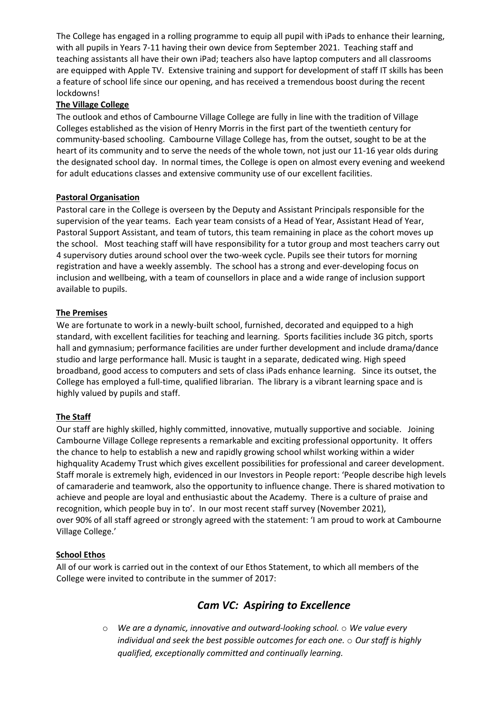The College has engaged in a rolling programme to equip all pupil with iPads to enhance their learning, with all pupils in Years 7-11 having their own device from September 2021. Teaching staff and teaching assistants all have their own iPad; teachers also have laptop computers and all classrooms are equipped with Apple TV. Extensive training and support for development of staff IT skills has been a feature of school life since our opening, and has received a tremendous boost during the recent lockdowns!

#### **The Village College**

The outlook and ethos of Cambourne Village College are fully in line with the tradition of Village Colleges established as the vision of Henry Morris in the first part of the twentieth century for community-based schooling. Cambourne Village College has, from the outset, sought to be at the heart of its community and to serve the needs of the whole town, not just our 11-16 year olds during the designated school day. In normal times, the College is open on almost every evening and weekend for adult educations classes and extensive community use of our excellent facilities.

#### **Pastoral Organisation**

Pastoral care in the College is overseen by the Deputy and Assistant Principals responsible for the supervision of the year teams. Each year team consists of a Head of Year, Assistant Head of Year, Pastoral Support Assistant, and team of tutors, this team remaining in place as the cohort moves up the school. Most teaching staff will have responsibility for a tutor group and most teachers carry out 4 supervisory duties around school over the two-week cycle. Pupils see their tutors for morning registration and have a weekly assembly. The school has a strong and ever-developing focus on inclusion and wellbeing, with a team of counsellors in place and a wide range of inclusion support available to pupils.

#### **The Premises**

We are fortunate to work in a newly-built school, furnished, decorated and equipped to a high standard, with excellent facilities for teaching and learning. Sports facilities include 3G pitch, sports hall and gymnasium; performance facilities are under further development and include drama/dance studio and large performance hall. Music is taught in a separate, dedicated wing. High speed broadband, good access to computers and sets of class iPads enhance learning. Since its outset, the College has employed a full-time, qualified librarian. The library is a vibrant learning space and is highly valued by pupils and staff.

#### **The Staff**

Our staff are highly skilled, highly committed, innovative, mutually supportive and sociable. Joining Cambourne Village College represents a remarkable and exciting professional opportunity. It offers the chance to help to establish a new and rapidly growing school whilst working within a wider highquality Academy Trust which gives excellent possibilities for professional and career development. Staff morale is extremely high, evidenced in our Investors in People report: 'People describe high levels of camaraderie and teamwork, also the opportunity to influence change. There is shared motivation to achieve and people are loyal and enthusiastic about the Academy. There is a culture of praise and recognition, which people buy in to'. In our most recent staff survey (November 2021), over 90% of all staff agreed or strongly agreed with the statement: 'I am proud to work at Cambourne Village College.'

#### **School Ethos**

All of our work is carried out in the context of our Ethos Statement, to which all members of the College were invited to contribute in the summer of 2017:

### *Cam VC: Aspiring to Excellence*

o *We are a dynamic, innovative and outward-looking school.* o *We value every individual and seek the best possible outcomes for each one.* o *Our staff is highly qualified, exceptionally committed and continually learning.*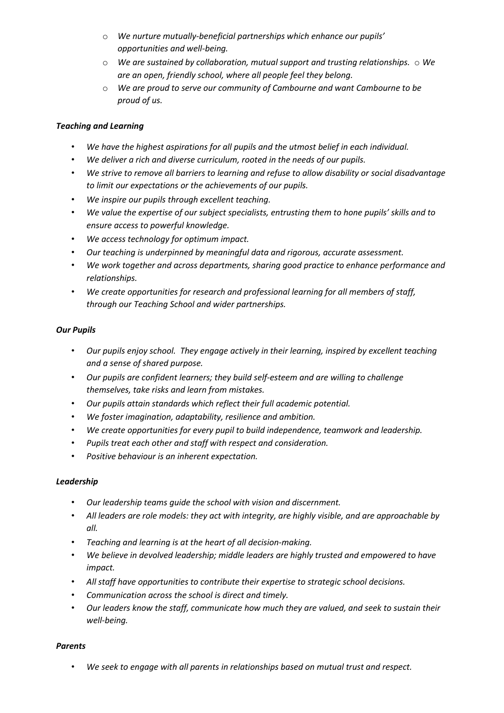- o *We nurture mutually-beneficial partnerships which enhance our pupils' opportunities and well-being.*
- o *We are sustained by collaboration, mutual support and trusting relationships.* o *We are an open, friendly school, where all people feel they belong.*
- o *We are proud to serve our community of Cambourne and want Cambourne to be proud of us.*

#### *Teaching and Learning*

- *We have the highest aspirations for all pupils and the utmost belief in each individual.*
- *We deliver a rich and diverse curriculum, rooted in the needs of our pupils.*
- *We strive to remove all barriers to learning and refuse to allow disability or social disadvantage to limit our expectations or the achievements of our pupils.*
- *We inspire our pupils through excellent teaching.*
- *We value the expertise of our subject specialists, entrusting them to hone pupils' skills and to ensure access to powerful knowledge.*
- *We access technology for optimum impact.*
- *Our teaching is underpinned by meaningful data and rigorous, accurate assessment.*
- *We work together and across departments, sharing good practice to enhance performance and relationships.*
- *We create opportunities for research and professional learning for all members of staff, through our Teaching School and wider partnerships.*

#### *Our Pupils*

- *Our pupils enjoy school. They engage actively in their learning, inspired by excellent teaching and a sense of shared purpose.*
- *Our pupils are confident learners; they build self-esteem and are willing to challenge themselves, take risks and learn from mistakes.*
- *Our pupils attain standards which reflect their full academic potential.*
- *We foster imagination, adaptability, resilience and ambition.*
- *We create opportunities for every pupil to build independence, teamwork and leadership.*
- *Pupils treat each other and staff with respect and consideration.*
- *Positive behaviour is an inherent expectation.*

#### *Leadership*

- *Our leadership teams guide the school with vision and discernment.*
- *All leaders are role models: they act with integrity, are highly visible, and are approachable by all.*
- *Teaching and learning is at the heart of all decision-making.*
- *We believe in devolved leadership; middle leaders are highly trusted and empowered to have impact.*
- *All staff have opportunities to contribute their expertise to strategic school decisions.*
- *Communication across the school is direct and timely.*
- *Our leaders know the staff, communicate how much they are valued, and seek to sustain their well-being.*

#### *Parents*

• *We seek to engage with all parents in relationships based on mutual trust and respect.*